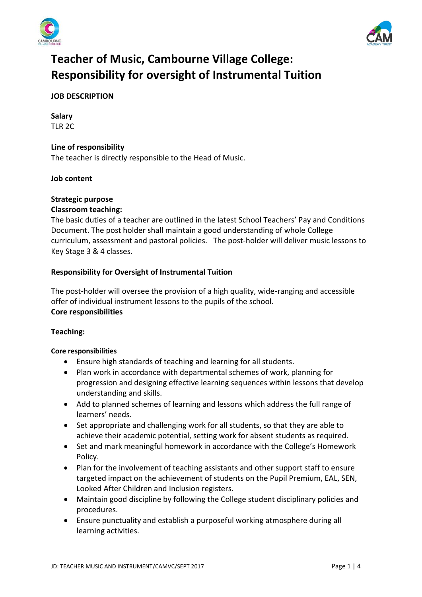



# **Teacher of Music, Cambourne Village College: Responsibility for oversight of Instrumental Tuition**

# **JOB DESCRIPTION**

**Salary** TLR 2C

# **Line of responsibility**

The teacher is directly responsible to the Head of Music.

### **Job content**

### **Strategic purpose**

### **Classroom teaching:**

The basic duties of a teacher are outlined in the latest School Teachers' Pay and Conditions Document. The post holder shall maintain a good understanding of whole College curriculum, assessment and pastoral policies. The post-holder will deliver music lessons to Key Stage 3 & 4 classes.

### **Responsibility for Oversight of Instrumental Tuition**

The post-holder will oversee the provision of a high quality, wide-ranging and accessible offer of individual instrument lessons to the pupils of the school. **Core responsibilities**

### **Teaching:**

#### **Core responsibilities**

- Ensure high standards of teaching and learning for all students.
- Plan work in accordance with departmental schemes of work, planning for progression and designing effective learning sequences within lessons that develop understanding and skills.
- Add to planned schemes of learning and lessons which address the full range of learners' needs.
- Set appropriate and challenging work for all students, so that they are able to achieve their academic potential, setting work for absent students as required.
- Set and mark meaningful homework in accordance with the College's Homework Policy.
- Plan for the involvement of teaching assistants and other support staff to ensure targeted impact on the achievement of students on the Pupil Premium, EAL, SEN, Looked After Children and Inclusion registers.
- Maintain good discipline by following the College student disciplinary policies and procedures.
- Ensure punctuality and establish a purposeful working atmosphere during all learning activities.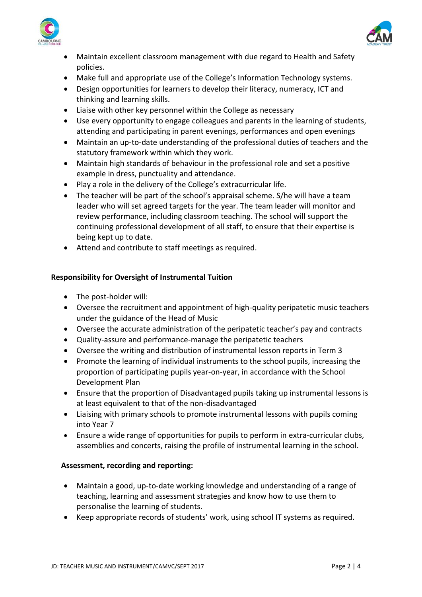



- Maintain excellent classroom management with due regard to Health and Safety policies.
- Make full and appropriate use of the College's Information Technology systems.
- Design opportunities for learners to develop their literacy, numeracy, ICT and thinking and learning skills.
- Liaise with other key personnel within the College as necessary
- Use every opportunity to engage colleagues and parents in the learning of students, attending and participating in parent evenings, performances and open evenings
- Maintain an up-to-date understanding of the professional duties of teachers and the statutory framework within which they work.
- Maintain high standards of behaviour in the professional role and set a positive example in dress, punctuality and attendance.
- Play a role in the delivery of the College's extracurricular life.
- The teacher will be part of the school's appraisal scheme. S/he will have a team leader who will set agreed targets for the year. The team leader will monitor and review performance, including classroom teaching. The school will support the continuing professional development of all staff, to ensure that their expertise is being kept up to date.
- Attend and contribute to staff meetings as required.

# **Responsibility for Oversight of Instrumental Tuition**

- The post-holder will:
- Oversee the recruitment and appointment of high-quality peripatetic music teachers under the guidance of the Head of Music
- Oversee the accurate administration of the peripatetic teacher's pay and contracts
- Quality-assure and performance-manage the peripatetic teachers
- Oversee the writing and distribution of instrumental lesson reports in Term 3
- Promote the learning of individual instruments to the school pupils, increasing the proportion of participating pupils year-on-year, in accordance with the School Development Plan
- Ensure that the proportion of Disadvantaged pupils taking up instrumental lessons is at least equivalent to that of the non-disadvantaged
- Liaising with primary schools to promote instrumental lessons with pupils coming into Year 7
- Ensure a wide range of opportunities for pupils to perform in extra-curricular clubs, assemblies and concerts, raising the profile of instrumental learning in the school.

### **Assessment, recording and reporting:**

- Maintain a good, up-to-date working knowledge and understanding of a range of teaching, learning and assessment strategies and know how to use them to personalise the learning of students.
- Keep appropriate records of students' work, using school IT systems as required.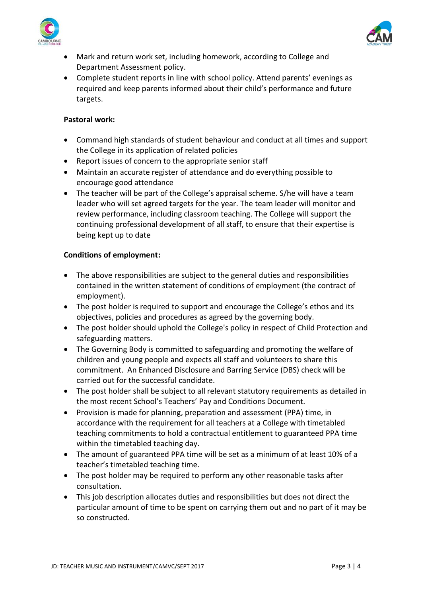



- Mark and return work set, including homework, according to College and Department Assessment policy.
- Complete student reports in line with school policy. Attend parents' evenings as required and keep parents informed about their child's performance and future targets.

# **Pastoral work:**

- Command high standards of student behaviour and conduct at all times and support the College in its application of related policies
- Report issues of concern to the appropriate senior staff
- Maintain an accurate register of attendance and do everything possible to encourage good attendance
- The teacher will be part of the College's appraisal scheme. S/he will have a team leader who will set agreed targets for the year. The team leader will monitor and review performance, including classroom teaching. The College will support the continuing professional development of all staff, to ensure that their expertise is being kept up to date

### **Conditions of employment:**

- The above responsibilities are subject to the general duties and responsibilities contained in the written statement of conditions of employment (the contract of employment).
- The post holder is required to support and encourage the College's ethos and its objectives, policies and procedures as agreed by the governing body.
- The post holder should uphold the College's policy in respect of Child Protection and safeguarding matters.
- The Governing Body is committed to safeguarding and promoting the welfare of children and young people and expects all staff and volunteers to share this commitment. An Enhanced Disclosure and Barring Service (DBS) check will be carried out for the successful candidate.
- The post holder shall be subject to all relevant statutory requirements as detailed in the most recent School's Teachers' Pay and Conditions Document.
- Provision is made for planning, preparation and assessment (PPA) time, in accordance with the requirement for all teachers at a College with timetabled teaching commitments to hold a contractual entitlement to guaranteed PPA time within the timetabled teaching day.
- The amount of guaranteed PPA time will be set as a minimum of at least 10% of a teacher's timetabled teaching time.
- The post holder may be required to perform any other reasonable tasks after consultation.
- This job description allocates duties and responsibilities but does not direct the particular amount of time to be spent on carrying them out and no part of it may be so constructed.